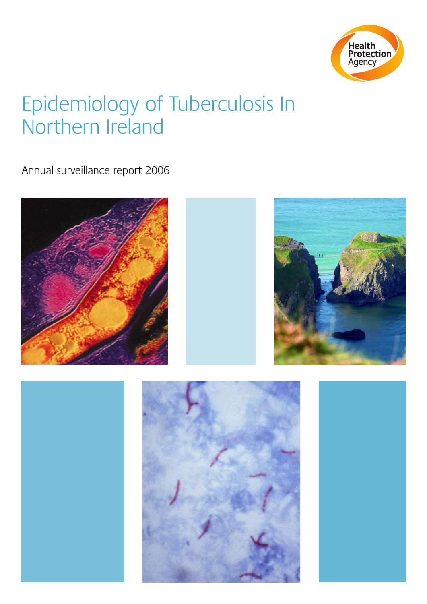

# Epidemiology of Tuberculosis In Northern Ireland

Annual surveillance report 2006

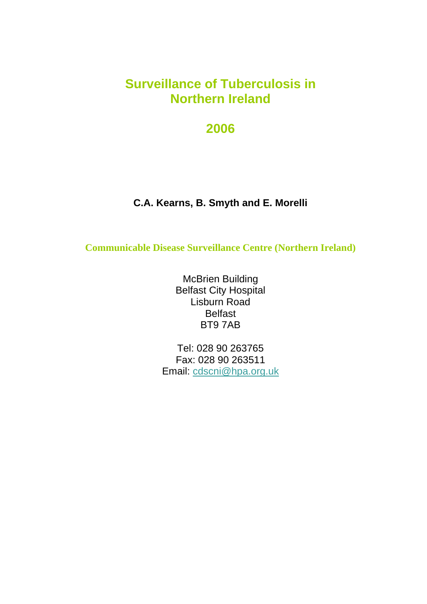# **Surveillance of Tuberculosis in Northern Ireland**

# **2006**

# **C.A. Kearns, B. Smyth and E. Morelli**

**Communicable Disease Surveillance Centre (Northern Ireland)**

McBrien Building Belfast City Hospital Lisburn Road Belfast BT9 7AB

Tel: 028 90 263765 Fax: 028 90 263511 Email: [cdscni@hpa.org.uk](mailto:%20cdscni@hpa.org.uk)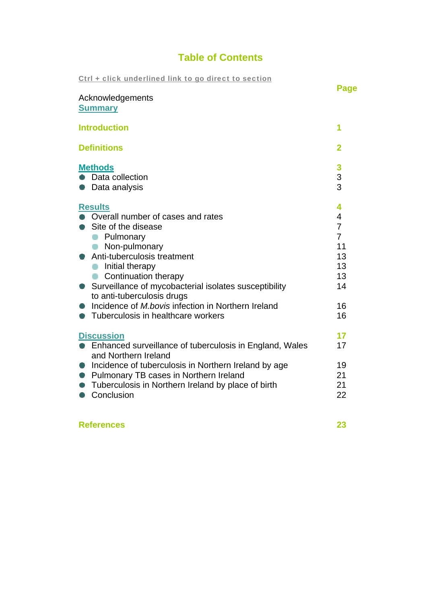# **Table of Contents**

| Ctrl + click underlined link to go direct to section                                                                                                                                                                                                                                                                                                                    | Page                                                                                 |
|-------------------------------------------------------------------------------------------------------------------------------------------------------------------------------------------------------------------------------------------------------------------------------------------------------------------------------------------------------------------------|--------------------------------------------------------------------------------------|
| Acknowledgements<br><b>Summary</b>                                                                                                                                                                                                                                                                                                                                      |                                                                                      |
| <b>Introduction</b>                                                                                                                                                                                                                                                                                                                                                     | 1                                                                                    |
| <b>Definitions</b>                                                                                                                                                                                                                                                                                                                                                      | $\overline{2}$                                                                       |
| <b>Methods</b><br>Data collection<br>Data analysis                                                                                                                                                                                                                                                                                                                      | 3<br>3<br>3                                                                          |
| <b>Results</b><br>• Overall number of cases and rates<br>Site of the disease<br>Pulmonary<br>Non-pulmonary<br>Anti-tuberculosis treatment<br>Initial therapy<br>Continuation therapy<br>Surveillance of mycobacterial isolates susceptibility<br>to anti-tuberculosis drugs<br>Incidence of M.bovis infection in Northern Ireland<br>Tuberculosis in healthcare workers | 4<br>4<br>$\overline{7}$<br>$\overline{7}$<br>11<br>13<br>13<br>13<br>14<br>16<br>16 |
| <b>Discussion</b><br>• Enhanced surveillance of tuberculosis in England, Wales<br>and Northern Ireland<br>Incidence of tuberculosis in Northern Ireland by age<br>Pulmonary TB cases in Northern Ireland<br>Tuberculosis in Northern Ireland by place of birth<br>Conclusion                                                                                            | 17<br>17<br>19<br>21<br>21<br>22                                                     |

# **References 23**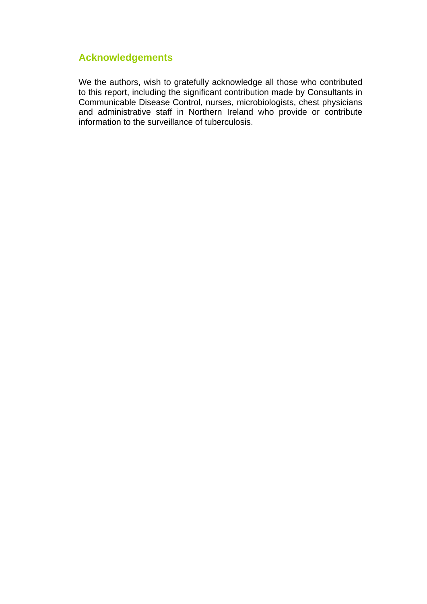# **Acknowledgements**

We the authors, wish to gratefully acknowledge all those who contributed to this report, including the significant contribution made by Consultants in Communicable Disease Control, nurses, microbiologists, chest physicians and administrative staff in Northern Ireland who provide or contribute information to the surveillance of tuberculosis.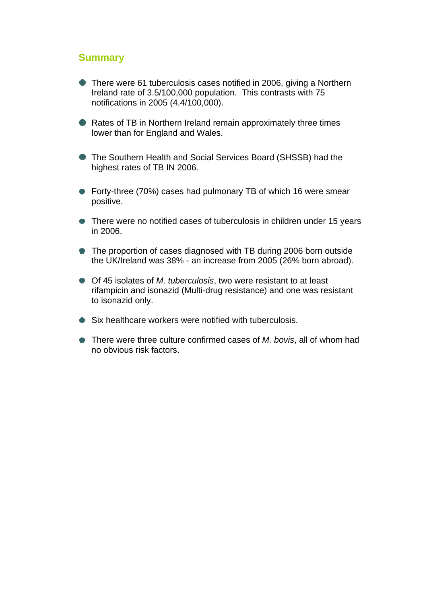#### <span id="page-4-0"></span>**Summary**

- There were 61 tuberculosis cases notified in 2006, giving a Northern Ireland rate of 3.5/100,000 population. This contrasts with 75 notifications in 2005 (4.4/100,000).
- **Rates of TB in Northern Ireland remain approximately three times** lower than for England and Wales.
- The Southern Health and Social Services Board (SHSSB) had the highest rates of TB IN 2006.
- Forty-three (70%) cases had pulmonary TB of which 16 were smear positive.
- There were no notified cases of tuberculosis in children under 15 years in 2006.
- The proportion of cases diagnosed with TB during 2006 born outside the UK/Ireland was 38% - an increase from 2005 (26% born abroad).
- Of 45 isolates of *M. tuberculosis*, two were resistant to at least rifampicin and isonazid (Multi-drug resistance) and one was resistant to isonazid only.
- Six healthcare workers were notified with tuberculosis.
- There were three culture confirmed cases of *M. bovis*, all of whom had no obvious risk factors.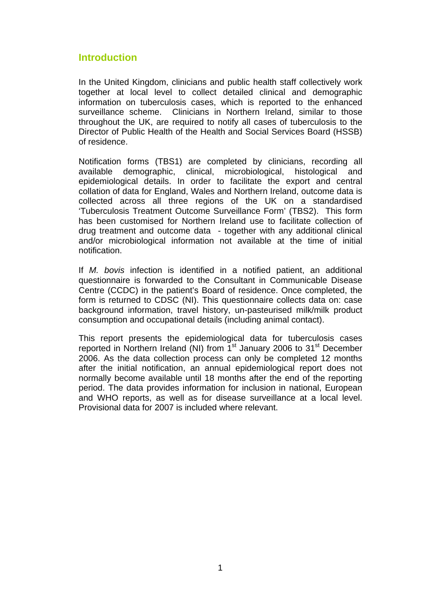# **Introduction**

In the United Kingdom, clinicians and public health staff collectively work together at local level to collect detailed clinical and demographic information on tuberculosis cases, which is reported to the enhanced surveillance scheme. Clinicians in Northern Ireland, similar to those throughout the UK, are required to notify all cases of tuberculosis to the Director of Public Health of the Health and Social Services Board (HSSB) of residence.

Notification forms (TBS1) are completed by clinicians, recording all available demographic, clinical, microbiological, histological and epidemiological details. In order to facilitate the export and central collation of data for England, Wales and Northern Ireland, outcome data is collected across all three regions of the UK on a standardised 'Tuberculosis Treatment Outcome Surveillance Form' (TBS2). This form has been customised for Northern Ireland use to facilitate collection of drug treatment and outcome data - together with any additional clinical and/or microbiological information not available at the time of initial notification.

If *M. bovis* infection is identified in a notified patient, an additional questionnaire is forwarded to the Consultant in Communicable Disease Centre (CCDC) in the patient's Board of residence. Once completed, the form is returned to CDSC (NI). This questionnaire collects data on: case background information, travel history, un-pasteurised milk/milk product consumption and occupational details (including animal contact).

This report presents the epidemiological data for tuberculosis cases reported in Northern Ireland (NI) from 1<sup>st</sup> January 2006 to 31<sup>st</sup> December 2006. As the data collection process can only be completed 12 months after the initial notification, an annual epidemiological report does not normally become available until 18 months after the end of the reporting period. The data provides information for inclusion in national, European and WHO reports, as well as for disease surveillance at a local level. Provisional data for 2007 is included where relevant.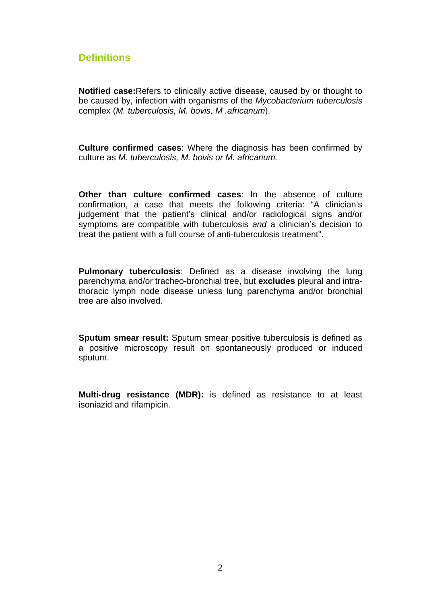# **Definitions**

**Notified case:**Refers to clinically active disease, caused by or thought to be caused by, infection with organisms of the *Mycobacterium tuberculosis* complex (*M. tuberculosis, M. bovis, M .africanum*).

**Culture confirmed cases**: Where the diagnosis has been confirmed by culture as *M. tuberculosis, M. bovis or M. africanum.* 

**Other than culture confirmed cases**: In the absence of culture confirmation, a case that meets the following criteria: "A clinician's judgement that the patient's clinical and/or radiological signs and/or symptoms are compatible with tuberculosis *and* a clinician's decision to treat the patient with a full course of anti-tuberculosis treatment".

**Pulmonary tuberculosis**: Defined as a disease involving the lung parenchyma and/or tracheo-bronchial tree, but **excludes** pleural and intrathoracic lymph node disease unless lung parenchyma and/or bronchial tree are also involved.

**Sputum smear result:** Sputum smear positive tuberculosis is defined as a positive microscopy result on spontaneously produced or induced sputum.

**Multi-drug resistance (MDR):** is defined as resistance to at least isoniazid and rifampicin.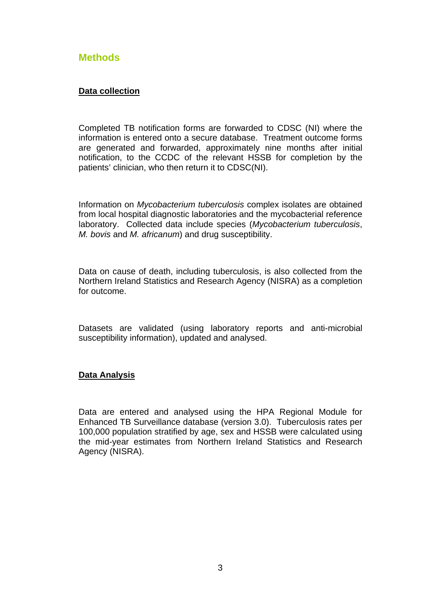### <span id="page-7-0"></span>**Methods**

#### **Data collection**

Completed TB notification forms are forwarded to CDSC (NI) where the information is entered onto a secure database. Treatment outcome forms are generated and forwarded, approximately nine months after initial notification, to the CCDC of the relevant HSSB for completion by the patients' clinician, who then return it to CDSC(NI).

Information on *Mycobacterium tuberculosis* complex isolates are obtained from local hospital diagnostic laboratories and the mycobacterial reference laboratory. Collected data include species (*Mycobacterium tuberculosis*, *M. bovis* and *M. africanum*) and drug susceptibility.

Data on cause of death, including tuberculosis, is also collected from the Northern Ireland Statistics and Research Agency (NISRA) as a completion for outcome.

Datasets are validated (using laboratory reports and anti-microbial susceptibility information), updated and analysed.

#### **Data Analysis**

Data are entered and analysed using the HPA Regional Module for Enhanced TB Surveillance database (version 3.0). Tuberculosis rates per 100,000 population stratified by age, sex and HSSB were calculated using the mid-year estimates from Northern Ireland Statistics and Research Agency (NISRA).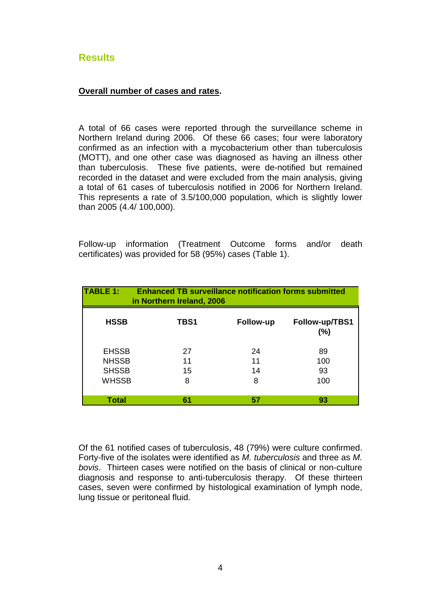# <span id="page-8-0"></span>**Results**

#### **Overall number of cases and rates.**

A total of 66 cases were reported through the surveillance scheme in Northern Ireland during 2006. Of these 66 cases; four were laboratory confirmed as an infection with a mycobacterium other than tuberculosis (MOTT), and one other case was diagnosed as having an illness other than tuberculosis. These five patients, were de-notified but remained recorded in the dataset and were excluded from the main analysis, giving a total of 61 cases of tuberculosis notified in 2006 for Northern Ireland. This represents a rate of 3.5/100,000 population, which is slightly lower than 2005 (4.4/ 100,000).

Follow-up information (Treatment Outcome forms and/or death certificates) was provided for 58 (95%) cases (Table 1).

| <b>TABLE 1:</b>                                              | in Northern Ireland, 2006 | <b>Enhanced TB surveillance notification forms submitted</b> |                        |
|--------------------------------------------------------------|---------------------------|--------------------------------------------------------------|------------------------|
| <b>HSSB</b>                                                  | TBS1                      | <b>Follow-up</b>                                             | Follow-up/TBS1<br>(%)  |
| <b>EHSSB</b><br><b>NHSSB</b><br><b>SHSSB</b><br><b>WHSSB</b> | 27<br>11<br>15<br>8       | 24<br>11<br>14<br>8                                          | 89<br>100<br>93<br>100 |
| Total                                                        | 61                        | 57                                                           | 93                     |

Of the 61 notified cases of tuberculosis, 48 (79%) were culture confirmed. Forty-five of the isolates were identified as *M. tuberculosis* and three as *M. bovis*. Thirteen cases were notified on the basis of clinical or non-culture diagnosis and response to anti-tuberculosis therapy. Of these thirteen cases, seven were confirmed by histological examination of lymph node, lung tissue or peritoneal fluid.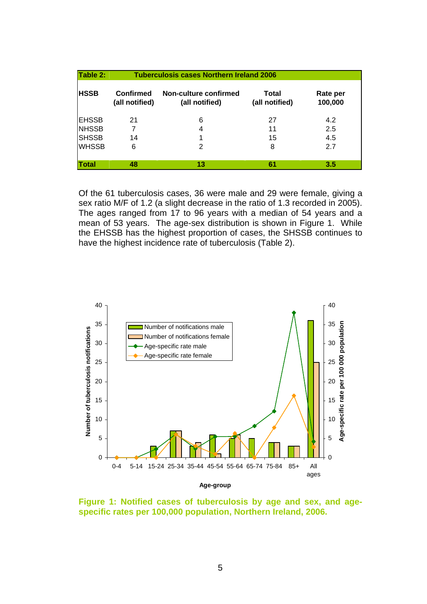| Table 2:      |                                    | <b>Tuberculosis cases Northern Ireland 2006</b> |                         |                     |  |
|---------------|------------------------------------|-------------------------------------------------|-------------------------|---------------------|--|
| <b>HSSB</b>   | <b>Confirmed</b><br>(all notified) | Non-culture confirmed<br>(all notified)         | Total<br>(all notified) | Rate per<br>100,000 |  |
| <b>IEHSSB</b> | 21                                 | 6                                               | 27                      | 4.2                 |  |
| <b>NHSSB</b>  |                                    | 4                                               | 11                      | 2.5                 |  |
| <b>SHSSB</b>  | 14                                 | 1                                               | 15                      | 4.5                 |  |
| <b>WHSSB</b>  | 6                                  | 2                                               | 8                       | 2.7                 |  |
|               |                                    |                                                 |                         |                     |  |
| Total         | 48                                 | 13                                              | 61                      | 3.5                 |  |

Of the 61 tuberculosis cases, 36 were male and 29 were female, giving a sex ratio M/F of 1.2 (a slight decrease in the ratio of 1.3 recorded in 2005). The ages ranged from 17 to 96 years with a median of 54 years and a mean of 53 years. The age-sex distribution is shown in Figure 1. While the EHSSB has the highest proportion of cases, the SHSSB continues to have the highest incidence rate of tuberculosis (Table 2).



**Figure 1: Notified cases of tuberculosis by age and sex, and agespecific rates per 100,000 population, Northern Ireland, 2006.**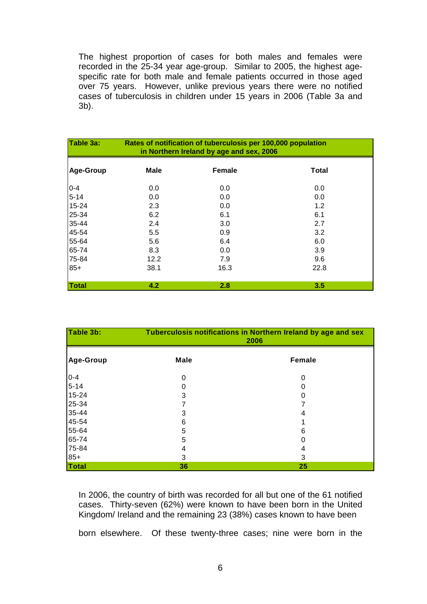The highest proportion of cases for both males and females were recorded in the 25-34 year age-group. Similar to 2005, the highest agespecific rate for both male and female patients occurred in those aged over 75 years. However, unlike previous years there were no notified cases of tuberculosis in children under 15 years in 2006 (Table 3a and 3b).

| Table 3a:    | Rates of notification of tuberculosis per 100,000 population<br>in Northern Ireland by age and sex, 2006 |               |              |
|--------------|----------------------------------------------------------------------------------------------------------|---------------|--------------|
| Age-Group    | Male                                                                                                     | <b>Female</b> | <b>Total</b> |
| $0 - 4$      | 0.0                                                                                                      | 0.0           | 0.0          |
| $5 - 14$     | 0.0                                                                                                      | 0.0           | 0.0          |
| 15-24        | 2.3                                                                                                      | 0.0           | 1.2          |
| 25-34        | 6.2                                                                                                      | 6.1           | 6.1          |
| 35-44        | 2.4                                                                                                      | 3.0           | 2.7          |
| 45-54        | 5.5                                                                                                      | 0.9           | 3.2          |
| 55-64        | 5.6                                                                                                      | 6.4           | 6.0          |
| 65-74        | 8.3                                                                                                      | 0.0           | 3.9          |
| 75-84        | 12.2                                                                                                     | 7.9           | 9.6          |
| $85+$        | 38.1                                                                                                     | 16.3          | 22.8         |
| <b>Total</b> | 4.2                                                                                                      | 2.8           | 3.5          |

| Table 3b:    | Tuberculosis notifications in Northern Ireland by age and sex<br>2006 |               |  |
|--------------|-----------------------------------------------------------------------|---------------|--|
| Age-Group    | Male                                                                  | <b>Female</b> |  |
| $0 - 4$      | 0                                                                     | 0             |  |
| $5 - 14$     | 0                                                                     | O             |  |
| 15-24        | 3                                                                     | 0             |  |
| 25-34        |                                                                       |               |  |
| 35-44        | 3                                                                     | 4             |  |
| 45-54        | 6                                                                     |               |  |
| 55-64        | 5                                                                     | 6             |  |
| 65-74        | 5                                                                     |               |  |
| 75-84        | 4                                                                     | 4             |  |
| $85+$        | 3                                                                     | 3             |  |
| <b>Total</b> | 36                                                                    | 25            |  |

In 2006, the country of birth was recorded for all but one of the 61 notified cases. Thirty-seven (62%) were known to have been born in the United Kingdom/ Ireland and the remaining 23 (38%) cases known to have been

born elsewhere. Of these twenty-three cases; nine were born in the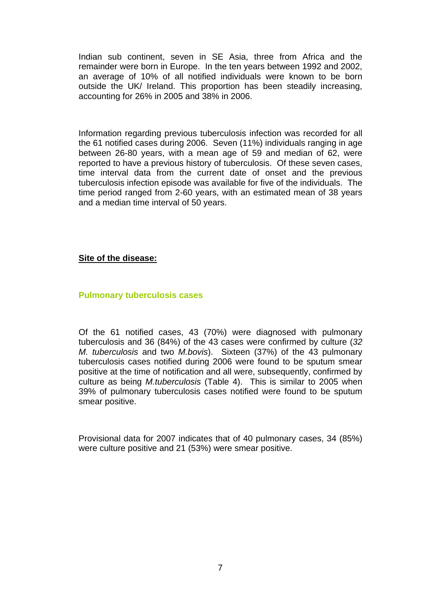Indian sub continent, seven in SE Asia, three from Africa and the remainder were born in Europe. In the ten years between 1992 and 2002, an average of 10% of all notified individuals were known to be born outside the UK/ Ireland. This proportion has been steadily increasing, accounting for 26% in 2005 and 38% in 2006.

Information regarding previous tuberculosis infection was recorded for all the 61 notified cases during 2006. Seven (11%) individuals ranging in age between 26-80 years, with a mean age of 59 and median of 62, were reported to have a previous history of tuberculosis. Of these seven cases, time interval data from the current date of onset and the previous tuberculosis infection episode was available for five of the individuals. The time period ranged from 2-60 years, with an estimated mean of 38 years and a median time interval of 50 years.

#### **Site of the disease:**

#### **Pulmonary tuberculosis cases**

Of the 61 notified cases, 43 (70%) were diagnosed with pulmonary tuberculosis and 36 (84%) of the 43 cases were confirmed by culture (*32 M. tuberculosis* and two *M.bovis*). Sixteen (37%) of the 43 pulmonary tuberculosis cases notified during 2006 were found to be sputum smear positive at the time of notification and all were, subsequently, confirmed by culture as being *M.tuberculosis* (Table 4). This is similar to 2005 when 39% of pulmonary tuberculosis cases notified were found to be sputum smear positive.

Provisional data for 2007 indicates that of 40 pulmonary cases, 34 (85%) were culture positive and 21 (53%) were smear positive.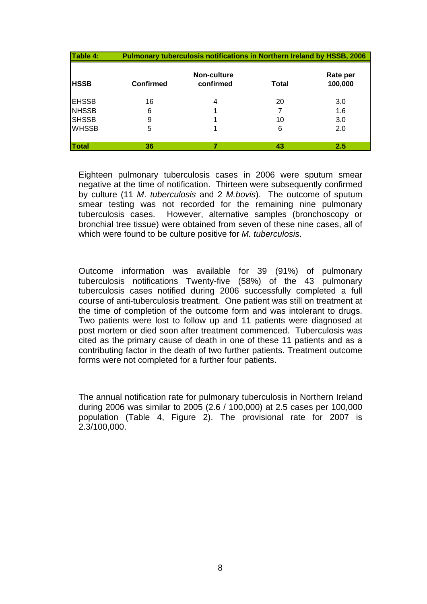| Table 4:     |                  | <b>Pulmonary tuberculosis notifications in Northern Ireland by HSSB, 2006</b> |       |                     |
|--------------|------------------|-------------------------------------------------------------------------------|-------|---------------------|
| <b>HSSB</b>  | <b>Confirmed</b> | Non-culture<br>confirmed                                                      | Total | Rate per<br>100,000 |
| <b>EHSSB</b> | 16               | 4                                                                             | 20    | 3.0                 |
| <b>NHSSB</b> | 6                |                                                                               |       | 1.6                 |
| <b>SHSSB</b> | 9                |                                                                               | 10    | 3.0                 |
| <b>WHSSB</b> | 5                |                                                                               | 6     | 2.0                 |
| <b>Total</b> | 36               |                                                                               | 43    | 2.5                 |

Eighteen pulmonary tuberculosis cases in 2006 were sputum smear negative at the time of notification. Thirteen were subsequently confirmed by culture (11 *M*. *tuberculosis* and 2 *M.bovis*). The outcome of sputum smear testing was not recorded for the remaining nine pulmonary tuberculosis cases. However, alternative samples (bronchoscopy or bronchial tree tissue) were obtained from seven of these nine cases, all of which were found to be culture positive for *M. tuberculosis*.

Outcome information was available for 39 (91%) of pulmonary tuberculosis notifications Twenty-five (58%) of the 43 pulmonary tuberculosis cases notified during 2006 successfully completed a full course of anti-tuberculosis treatment. One patient was still on treatment at the time of completion of the outcome form and was intolerant to drugs. Two patients were lost to follow up and 11 patients were diagnosed at post mortem or died soon after treatment commenced. Tuberculosis was cited as the primary cause of death in one of these 11 patients and as a contributing factor in the death of two further patients. Treatment outcome forms were not completed for a further four patients.

The annual notification rate for pulmonary tuberculosis in Northern Ireland during 2006 was similar to 2005 (2.6 / 100,000) at 2.5 cases per 100,000 population (Table 4, Figure 2). The provisional rate for 2007 is 2.3/100,000.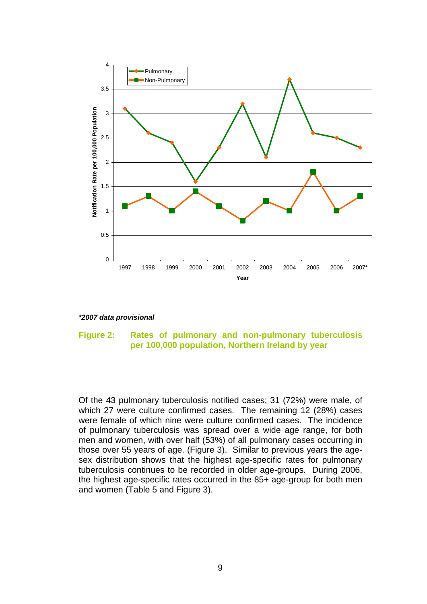

*\*2007 data provisional* 

#### **Figure 2: Rates of pulmonary and non-pulmonary tuberculosis per 100,000 population, Northern Ireland by year**

Of the 43 pulmonary tuberculosis notified cases; 31 (72%) were male, of which 27 were culture confirmed cases. The remaining 12 (28%) cases were female of which nine were culture confirmed cases. The incidence of pulmonary tuberculosis was spread over a wide age range, for both men and women, with over half (53%) of all pulmonary cases occurring in those over 55 years of age. (Figure 3). Similar to previous years the agesex distribution shows that the highest age-specific rates for pulmonary tuberculosis continues to be recorded in older age-groups. During 2006, the highest age-specific rates occurred in the 85+ age-group for both men and women (Table 5 and Figure 3).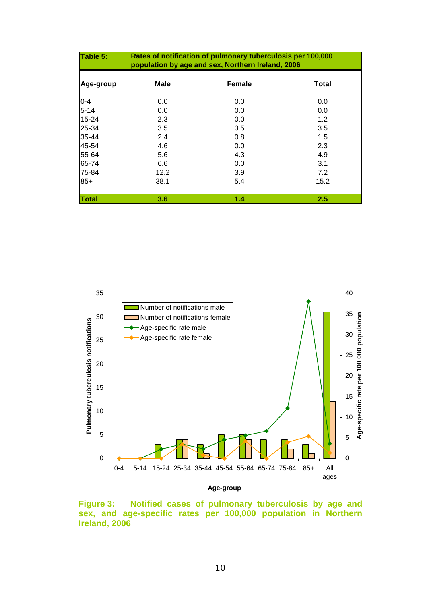| Table 5:     | Rates of notification of pulmonary tuberculosis per 100,000<br>population by age and sex, Northern Ireland, 2006 |        |       |
|--------------|------------------------------------------------------------------------------------------------------------------|--------|-------|
| Age-group    | <b>Male</b>                                                                                                      | Female | Total |
| $0 - 4$      | 0.0                                                                                                              | 0.0    | 0.0   |
| $5 - 14$     | 0.0                                                                                                              | 0.0    | 0.0   |
| 15-24        | 2.3                                                                                                              | 0.0    | 1.2   |
| 25-34        | 3.5                                                                                                              | 3.5    | 3.5   |
| 35-44        | 2.4                                                                                                              | 0.8    | 1.5   |
| 45-54        | 4.6                                                                                                              | 0.0    | 2.3   |
| 55-64        | 5.6                                                                                                              | 4.3    | 4.9   |
| 65-74        | 6.6                                                                                                              | 0.0    | 3.1   |
| 75-84        | 12.2                                                                                                             | 3.9    | 7.2   |
| $85+$        | 38.1                                                                                                             | 5.4    | 15.2  |
| <b>Total</b> | 3.6                                                                                                              | 1.4    | 2.5   |



**Figure 3: Notified cases of pulmonary tuberculosis by age and**  sex, and age-specific rates per 100,000 population in Northern **Ireland, 2006**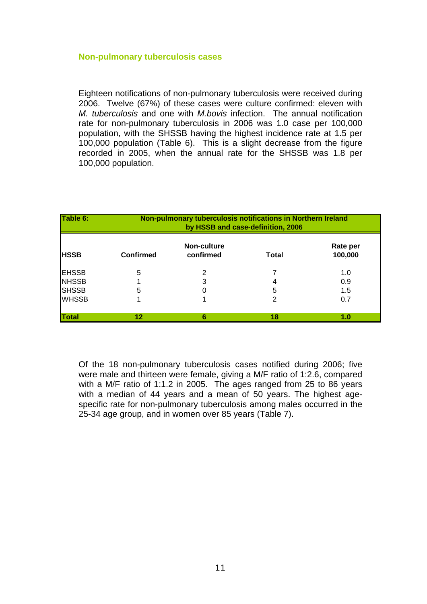#### **Non-pulmonary tuberculosis cases**

Eighteen notifications of non-pulmonary tuberculosis were received during 2006. Twelve (67%) of these cases were culture confirmed: eleven with *M. tuberculosis* and one with *M.bovis* infection. The annual notification rate for non-pulmonary tuberculosis in 2006 was 1.0 case per 100,000 population, with the SHSSB having the highest incidence rate at 1.5 per 100,000 population (Table 6). This is a slight decrease from the figure recorded in 2005, when the annual rate for the SHSSB was 1.8 per 100,000 population.

| Table 6:     | Non-pulmonary tuberculosis notifications in Northern Ireland<br>by HSSB and case-definition, 2006 |                          |              |                     |
|--------------|---------------------------------------------------------------------------------------------------|--------------------------|--------------|---------------------|
| <b>HSSB</b>  | <b>Confirmed</b>                                                                                  | Non-culture<br>confirmed | <b>Total</b> | Rate per<br>100,000 |
| <b>EHSSB</b> | 5                                                                                                 | 2                        |              | 1.0                 |
| <b>NHSSB</b> |                                                                                                   | 3                        |              | 0.9                 |
| <b>SHSSB</b> | 5                                                                                                 |                          | 5            | 1.5                 |
| <b>WHSSB</b> |                                                                                                   |                          | 2            | 0.7                 |
| <b>Total</b> | 12                                                                                                | 6                        | 18           | 1.0                 |

Of the 18 non-pulmonary tuberculosis cases notified during 2006; five were male and thirteen were female, giving a M/F ratio of 1:2.6, compared with a M/F ratio of 1:1.2 in 2005. The ages ranged from 25 to 86 years with a median of 44 years and a mean of 50 years. The highest agespecific rate for non-pulmonary tuberculosis among males occurred in the 25-34 age group, and in women over 85 years (Table 7).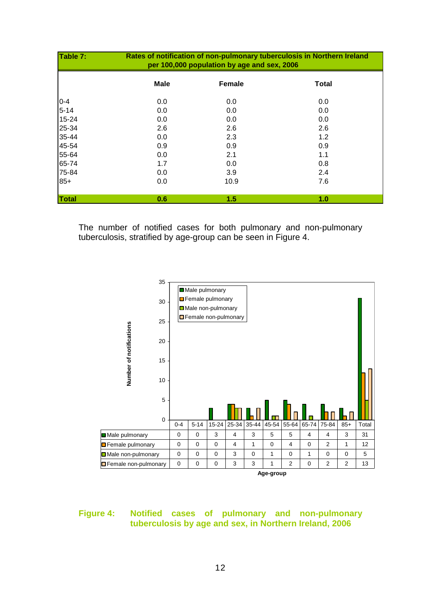| Table 7: | Rates of notification of non-pulmonary tuberculosis in Northern Ireland<br>per 100,000 population by age and sex, 2006 |        |              |  |
|----------|------------------------------------------------------------------------------------------------------------------------|--------|--------------|--|
|          | <b>Male</b>                                                                                                            | Female | <b>Total</b> |  |
| $0 - 4$  | 0.0                                                                                                                    | 0.0    | 0.0          |  |
| $5 - 14$ | 0.0                                                                                                                    | 0.0    | 0.0          |  |
| 15-24    | 0.0                                                                                                                    | 0.0    | 0.0          |  |
| 25-34    | 2.6                                                                                                                    | 2.6    | 2.6          |  |
| 35-44    | 0.0                                                                                                                    | 2.3    | 1.2          |  |
| 45-54    | 0.9                                                                                                                    | 0.9    | 0.9          |  |
| 55-64    | 0.0                                                                                                                    | 2.1    | 1.1          |  |
| 65-74    | 1.7                                                                                                                    | 0.0    | 0.8          |  |
| 75-84    | 0.0                                                                                                                    | 3.9    | 2.4          |  |
| $85+$    | 0.0                                                                                                                    | 10.9   | 7.6          |  |
| Total    | 0.6                                                                                                                    | 1.5    | 1.0          |  |

The number of notified cases for both pulmonary and non-pulmonary tuberculosis, stratified by age-group can be seen in Figure 4.



#### **Figure 4: Notified cases of pulmonary and non-pulmonary tuberculosis by age and sex, in Northern Ireland, 2006**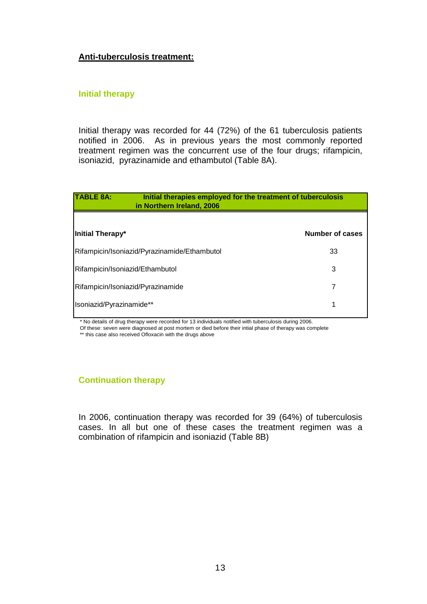#### **Anti-tuberculosis treatment:**

#### **Initial therapy**

Initial therapy was recorded for 44 (72%) of the 61 tuberculosis patients notified in 2006. As in previous years the most commonly reported treatment regimen was the concurrent use of the four drugs; rifampicin, isoniazid, pyrazinamide and ethambutol (Table 8A).

| <b>TABLE 8A:</b>                             | Initial therapies employed for the treatment of tuberculosis<br>in Northern Ireland, 2006 |                        |
|----------------------------------------------|-------------------------------------------------------------------------------------------|------------------------|
| Initial Therapy*                             |                                                                                           | <b>Number of cases</b> |
|                                              |                                                                                           |                        |
| Rifampicin/Isoniazid/Pyrazinamide/Ethambutol |                                                                                           | 33                     |
| Rifampicin/Isoniazid/Ethambutol              |                                                                                           | 3                      |
| Rifampicin/Isoniazid/Pyrazinamide            |                                                                                           | 7                      |
| Isoniazid/Pyrazinamide**                     |                                                                                           |                        |

\* No details of drug therapy were recorded for 13 individuals notified with tuberculosis during 2006.

Of these: seven were diagnosed at post mortem or died before their intial phase of therapy was complete

\*\* this case also received Ofloxacin with the drugs above

#### **Continuation therapy**

In 2006, continuation therapy was recorded for 39 (64%) of tuberculosis cases. In all but one of these cases the treatment regimen was a combination of rifampicin and isoniazid (Table 8B)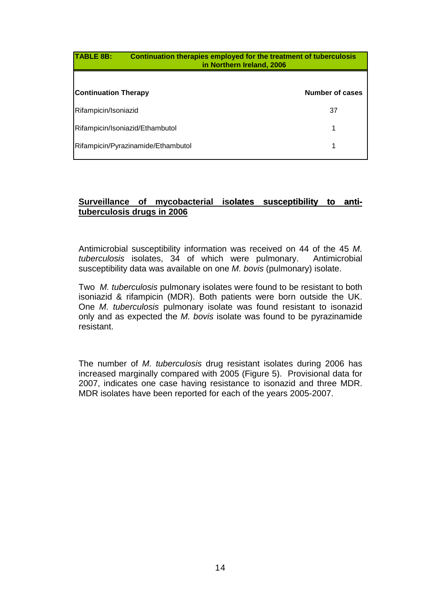| <b>TABLE 8B:</b><br>Continuation therapies employed for the treatment of tuberculosis<br>in Northern Ireland, 2006 |                 |
|--------------------------------------------------------------------------------------------------------------------|-----------------|
|                                                                                                                    |                 |
| <b>Continuation Therapy</b>                                                                                        | Number of cases |
| Rifampicin/Isoniazid                                                                                               | 37              |
| Rifampicin/Isoniazid/Ethambutol                                                                                    | 1               |
| Rifampicin/Pyrazinamide/Ethambutol                                                                                 | 1               |

#### Surveillance of mycobacterial isolates susceptibility to anti**tuberculosis drugs in 2006**

Antimicrobial susceptibility information was received on 44 of the 45 *M. tuberculosis* isolates, 34 of which were pulmonary. Antimicrobial susceptibility data was available on one *M. bovis* (pulmonary) isolate.

Two *M. tuberculosis* pulmonary isolates were found to be resistant to both isoniazid & rifampicin (MDR). Both patients were born outside the UK. One *M. tuberculosis* pulmonary isolate was found resistant to isonazid only and as expected the *M. bovis* isolate was found to be pyrazinamide resistant.

The number of *M. tuberculosis* drug resistant isolates during 2006 has increased marginally compared with 2005 (Figure 5). Provisional data for 2007, indicates one case having resistance to isonazid and three MDR. MDR isolates have been reported for each of the years 2005-2007.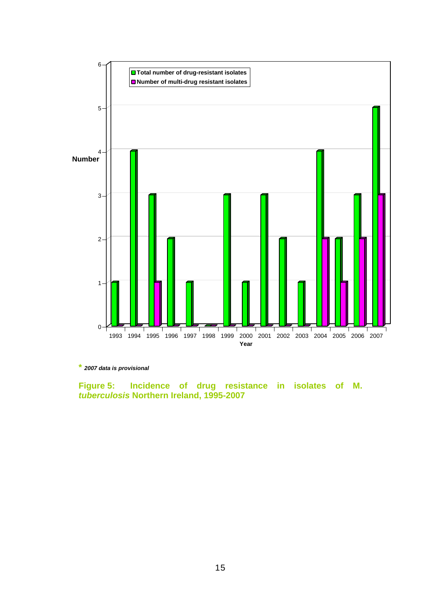

**\*** *2007 data is provisional*

**Figure 5: Incidence of drug resistance in isolates of M.**  *tuberculosis* **Northern Ireland, 1995-2007**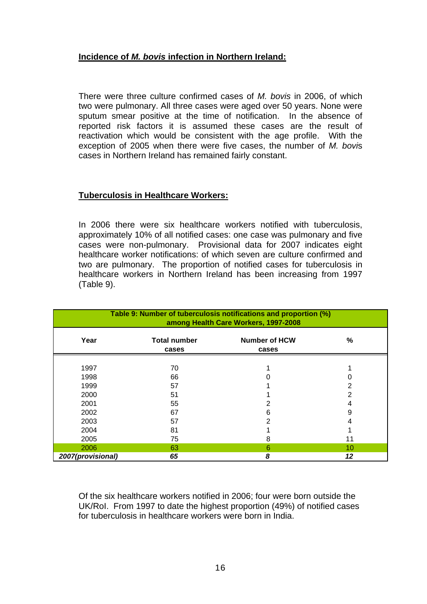#### **Incidence of** *M. bovis* **infection in Northern Ireland:**

There were three culture confirmed cases of *M. bovis* in 2006, of which two were pulmonary. All three cases were aged over 50 years. None were sputum smear positive at the time of notification. In the absence of reported risk factors it is assumed these cases are the result of reactivation which would be consistent with the age profile. With the exception of 2005 when there were five cases, the number of *M. bovi*s cases in Northern Ireland has remained fairly constant.

#### **Tuberculosis in Healthcare Workers:**

In 2006 there were six healthcare workers notified with tuberculosis, approximately 10% of all notified cases: one case was pulmonary and five cases were non-pulmonary. Provisional data for 2007 indicates eight healthcare worker notifications: of which seven are culture confirmed and two are pulmonary. The proportion of notified cases for tuberculosis in healthcare workers in Northern Ireland has been increasing from 1997 (Table 9).

| Table 9: Number of tuberculosis notifications and proportion (%)<br>among Health Care Workers, 1997-2008 |                              |                               |    |
|----------------------------------------------------------------------------------------------------------|------------------------------|-------------------------------|----|
| Year                                                                                                     | <b>Total number</b><br>cases | <b>Number of HCW</b><br>cases | %  |
| 1997                                                                                                     | 70                           |                               |    |
| 1998                                                                                                     | 66                           |                               |    |
| 1999                                                                                                     | 57                           |                               |    |
| 2000                                                                                                     | 51                           |                               |    |
| 2001                                                                                                     | 55                           |                               |    |
| 2002                                                                                                     | 67                           | 6                             | 9  |
| 2003                                                                                                     | 57                           | っ                             |    |
| 2004                                                                                                     | 81                           |                               |    |
| 2005                                                                                                     | 75                           | 8                             | 11 |
| 2006                                                                                                     | 63                           | 6                             | 10 |
| 2007(provisional)                                                                                        | 65                           | 8                             | 12 |

Of the six healthcare workers notified in 2006; four were born outside the UK/RoI. From 1997 to date the highest proportion (49%) of notified cases for tuberculosis in healthcare workers were born in India.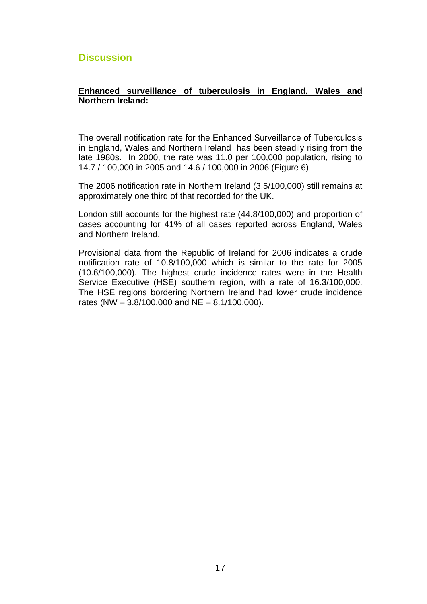# <span id="page-21-0"></span>**Discussion**

#### **Enhanced surveillance of tuberculosis in England, Wales and Northern Ireland:**

The overall notification rate for the Enhanced Surveillance of Tuberculosis in England, Wales and Northern Ireland has been steadily rising from the late 1980s. In 2000, the rate was 11.0 per 100,000 population, rising to 14.7 / 100,000 in 2005 and 14.6 / 100,000 in 2006 (Figure 6)

The 2006 notification rate in Northern Ireland (3.5/100,000) still remains at approximately one third of that recorded for the UK.

London still accounts for the highest rate (44.8/100,000) and proportion of cases accounting for 41% of all cases reported across England, Wales and Northern Ireland.

Provisional data from the Republic of Ireland for 2006 indicates a crude notification rate of 10.8/100,000 which is similar to the rate for 2005 (10.6/100,000). The highest crude incidence rates were in the Health Service Executive (HSE) southern region, with a rate of 16.3/100,000. The HSE regions bordering Northern Ireland had lower crude incidence rates (NW  $-$  3.8/100,000 and NE  $-$  8.1/100,000).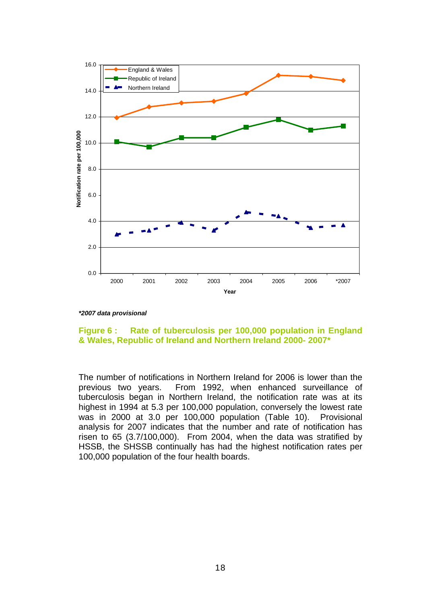

*\*2007 data provisional*

#### **Figure 6 : Rate of tuberculosis per 100,000 population in England & Wales, Republic of Ireland and Northern Ireland 2000- 2007\***

The number of notifications in Northern Ireland for 2006 is lower than the previous two years. From 1992, when enhanced surveillance of tuberculosis began in Northern Ireland, the notification rate was at its highest in 1994 at 5.3 per 100,000 population, conversely the lowest rate was in 2000 at 3.0 per 100,000 population (Table 10). Provisional analysis for 2007 indicates that the number and rate of notification has risen to 65 (3.7/100,000). From 2004, when the data was stratified by HSSB, the SHSSB continually has had the highest notification rates per 100,000 population of the four health boards.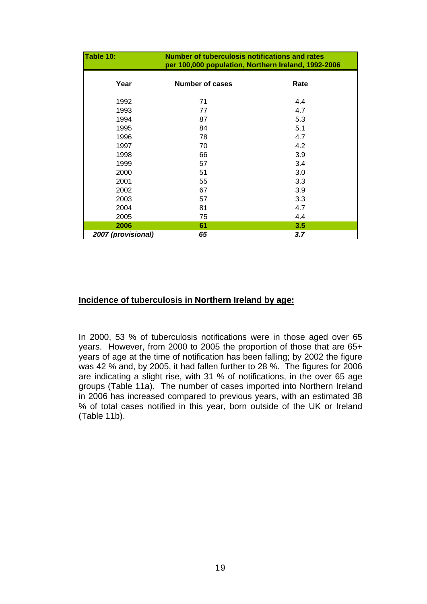| Table 10:          | <b>Number of tuberculosis notifications and rates</b><br>per 100,000 population, Northern Ireland, 1992-2006 |      |  |  |
|--------------------|--------------------------------------------------------------------------------------------------------------|------|--|--|
| Year               | <b>Number of cases</b>                                                                                       | Rate |  |  |
| 1992               | 71                                                                                                           | 4.4  |  |  |
| 1993               | 77                                                                                                           | 4.7  |  |  |
| 1994               | 87                                                                                                           | 5.3  |  |  |
| 1995               | 84                                                                                                           | 5.1  |  |  |
| 1996               | 78                                                                                                           | 4.7  |  |  |
| 1997               | 70                                                                                                           | 4.2  |  |  |
| 1998               | 66                                                                                                           | 3.9  |  |  |
| 1999               | 57                                                                                                           | 3.4  |  |  |
| 2000               | 51                                                                                                           | 3.0  |  |  |
| 2001               | 55                                                                                                           | 3.3  |  |  |
| 2002               | 67                                                                                                           | 3.9  |  |  |
| 2003               | 57                                                                                                           | 3.3  |  |  |
| 2004               | 81                                                                                                           | 4.7  |  |  |
| 2005               | 75                                                                                                           | 4.4  |  |  |
| 2006               | 61                                                                                                           | 3.5  |  |  |
| 2007 (provisional) | 65                                                                                                           | 3.7  |  |  |

#### **Incidence of tuberculosis in Northern Ireland by age:**

In 2000, 53 % of tuberculosis notifications were in those aged over 65 years. However, from 2000 to 2005 the proportion of those that are 65+ years of age at the time of notification has been falling; by 2002 the figure was 42 % and, by 2005, it had fallen further to 28 %. The figures for 2006 are indicating a slight rise, with 31 % of notifications, in the over 65 age groups (Table 11a). The number of cases imported into Northern Ireland in 2006 has increased compared to previous years, with an estimated 38 % of total cases notified in this year, born outside of the UK or Ireland (Table 11b).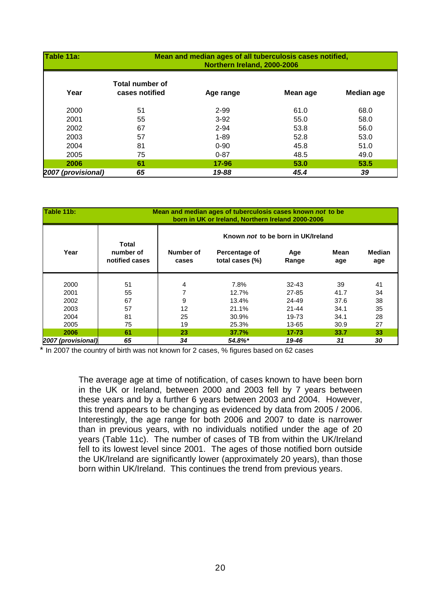| Table 11a:         | Mean and median ages of all tuberculosis cases notified, |           |          |            |  |
|--------------------|----------------------------------------------------------|-----------|----------|------------|--|
|                    | Northern Ireland, 2000-2006                              |           |          |            |  |
| Year               | Total number of<br>cases notified                        | Age range | Mean age | Median age |  |
| 2000               | 51                                                       | 2-99      | 61.0     | 68.0       |  |
| 2001               | 55                                                       | $3-92$    | 55.0     | 58.0       |  |
| 2002               | 67                                                       | $2 - 94$  | 53.8     | 56.0       |  |
| 2003               | 57                                                       | $1 - 89$  | 52.8     | 53.0       |  |
| 2004               | 81                                                       | $0 - 90$  | 45.8     | 51.0       |  |
| 2005               | 75                                                       | $0 - 87$  | 48.5     | 49.0       |  |
| 2006               | 61                                                       | 17-96     | 53.0     | 53.5       |  |
| 2007 (provisional) | 65                                                       | 19-88     | 45.4     | 39         |  |

| Table 11b:         | Mean and median ages of tuberculosis cases known not to be<br>born in UK or Ireland, Northern Ireland 2000-2006 |                                    |                                  |              |             |                      |
|--------------------|-----------------------------------------------------------------------------------------------------------------|------------------------------------|----------------------------------|--------------|-------------|----------------------|
|                    |                                                                                                                 | Known not to be born in UK/Ireland |                                  |              |             |                      |
| Year               | Total<br>number of<br>notified cases                                                                            | Number of<br>cases                 | Percentage of<br>total cases (%) | Age<br>Range | Mean<br>age | <b>Median</b><br>age |
| 2000               | 51                                                                                                              | 4                                  | 7.8%                             | $32 - 43$    | 39          | 41                   |
| 2001               | 55                                                                                                              |                                    | 12.7%                            | 27-85        | 41.7        | 34                   |
| 2002               | 67                                                                                                              | 9                                  | 13.4%                            | 24-49        | 37.6        | 38                   |
| 2003               | 57                                                                                                              | 12                                 | 21.1%                            | $21 - 44$    | 34.1        | 35                   |
| 2004               | 81                                                                                                              | 25                                 | 30.9%                            | 19-73        | 34.1        | 28                   |
| 2005               | 75                                                                                                              | 19                                 | 25.3%                            | 13-65        | 30.9        | 27                   |
| 2006               | 61                                                                                                              | 23                                 | 37.7%                            | $17 - 73$    | 33.7        | 33                   |
| 2007 (provisional) | 65                                                                                                              | 34                                 | $54.8\%$ <sup>*</sup>            | 19-46        | 31          | 30                   |

\* In 2007 the country of birth was not known for 2 cases, % figures based on 62 cases

The average age at time of notification, of cases known to have been born in the UK or Ireland, between 2000 and 2003 fell by 7 years between these years and by a further 6 years between 2003 and 2004. However, this trend appears to be changing as evidenced by data from 2005 / 2006. Interestingly, the age range for both 2006 and 2007 to date is narrower than in previous years, with no individuals notified under the age of 20 years (Table 11c). The number of cases of TB from within the UK/Ireland fell to its lowest level since 2001. The ages of those notified born outside the UK/Ireland are significantly lower (approximately 20 years), than those born within UK/Ireland. This continues the trend from previous years.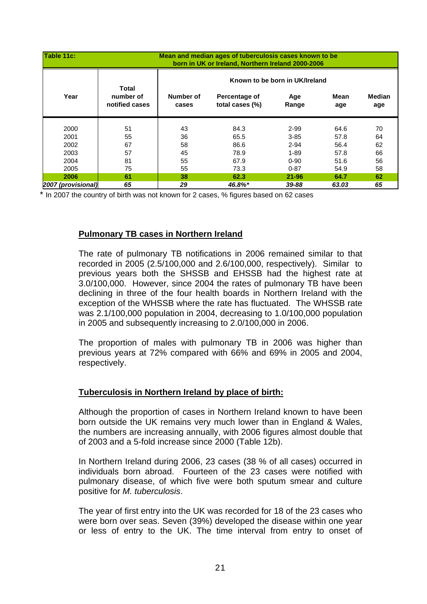| <b>Table 11c:</b>  |                                      |                                | Mean and median ages of tuberculosis cases known to be<br>born in UK or Ireland, Northern Ireland 2000-2006 |              |             |               |
|--------------------|--------------------------------------|--------------------------------|-------------------------------------------------------------------------------------------------------------|--------------|-------------|---------------|
|                    |                                      | Known to be born in UK/Ireland |                                                                                                             |              |             |               |
| Year               | Total<br>number of<br>notified cases | Number of<br>cases             | Percentage of<br>total cases (%)                                                                            | Age<br>Range | Mean<br>age | Median<br>age |
| 2000               | 51                                   | 43                             | 84.3                                                                                                        | $2 - 99$     | 64.6        | 70            |
| 2001               | 55                                   | 36                             | 65.5                                                                                                        | $3 - 85$     | 57.8        | 64            |
| 2002               | 67                                   | 58                             | 86.6                                                                                                        | $2 - 94$     | 56.4        | 62            |
| 2003               | 57                                   | 45                             | 78.9                                                                                                        | $1 - 89$     | 57.8        | 66            |
| 2004               | 81                                   | 55                             | 67.9                                                                                                        | $0 - 90$     | 51.6        | 56            |
| 2005               | 75                                   | 55                             | 73.3                                                                                                        | $0 - 87$     | 54.9        | 58            |
| 2006               | 61                                   | 38                             | 62.3                                                                                                        | $21 - 96$    | 64.7        | 62            |
| 2007 (provisional) | 65                                   | 29                             | 46.8%*                                                                                                      | 39-88        | 63.03       | 65            |

\* In 2007 the country of birth was not known for 2 cases, % figures based on 62 cases

#### **Pulmonary TB cases in Northern Ireland**

The rate of pulmonary TB notifications in 2006 remained similar to that recorded in 2005 (2.5/100,000 and 2.6/100,000, respectively). Similar to previous years both the SHSSB and EHSSB had the highest rate at 3.0/100,000. However, since 2004 the rates of pulmonary TB have been declining in three of the four health boards in Northern Ireland with the exception of the WHSSB where the rate has fluctuated. The WHSSB rate was 2.1/100,000 population in 2004, decreasing to 1.0/100,000 population in 2005 and subsequently increasing to 2.0/100,000 in 2006.

The proportion of males with pulmonary TB in 2006 was higher than previous years at 72% compared with 66% and 69% in 2005 and 2004, respectively.

#### **Tuberculosis in Northern Ireland by place of birth:**

Although the proportion of cases in Northern Ireland known to have been born outside the UK remains very much lower than in England & Wales, the numbers are increasing annually, with 2006 figures almost double that of 2003 and a 5-fold increase since 2000 (Table 12b).

In Northern Ireland during 2006, 23 cases (38 % of all cases) occurred in individuals born abroad. Fourteen of the 23 cases were notified with pulmonary disease, of which five were both sputum smear and culture positive for *M. tuberculosis*.

The year of first entry into the UK was recorded for 18 of the 23 cases who were born over seas. Seven (39%) developed the disease within one year or less of entry to the UK. The time interval from entry to onset of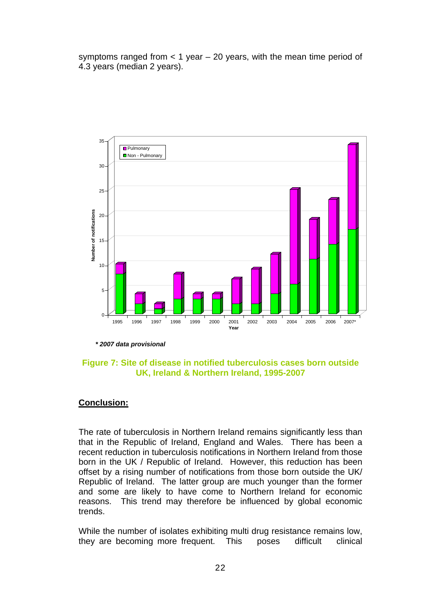symptoms ranged from  $<$  1 year  $-$  20 years, with the mean time period of 4.3 years (median 2 years).



*\* 2007 data provisional* 

#### **Figure 7: Site of disease in notified tuberculosis cases born outside UK, Ireland & Northern Ireland, 1995-2007**

#### **Conclusion:**

The rate of tuberculosis in Northern Ireland remains significantly less than that in the Republic of Ireland, England and Wales. There has been a recent reduction in tuberculosis notifications in Northern Ireland from those born in the UK / Republic of Ireland. However, this reduction has been offset by a rising number of notifications from those born outside the UK/ Republic of Ireland. The latter group are much younger than the former and some are likely to have come to Northern Ireland for economic reasons. This trend may therefore be influenced by global economic trends.

While the number of isolates exhibiting multi drug resistance remains low, they are becoming more frequent. This poses difficult clinical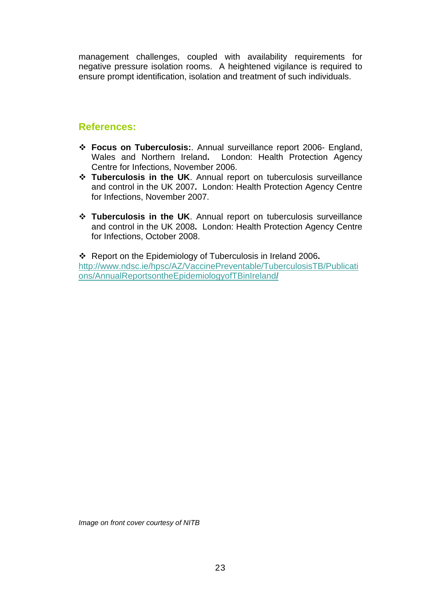management challenges, coupled with availability requirements for negative pressure isolation rooms. A heightened vigilance is required to ensure prompt identification, isolation and treatment of such individuals.

# **References:**

- **Focus on Tuberculosis:**. Annual surveillance report 2006- England, Wales and Northern Ireland**.** London: Health Protection Agency Centre for Infections, November 2006.
- **Tuberculosis in the UK**. Annual report on tuberculosis surveillance and control in the UK 2007**.** London: Health Protection Agency Centre for Infections, November 2007.
- **Tuberculosis in the UK**. Annual report on tuberculosis surveillance and control in the UK 2008**.** London: Health Protection Agency Centre for Infections, October 2008.

 Report on the Epidemiology of Tuberculosis in Ireland 2006**.**  [http://www.ndsc.ie/hpsc/AZ/VaccinePreventable/TuberculosisTB/Publicati](http://www.ndsc.ie/hpsc/AZ/VaccinePreventable/TuberculosisTB/Publications/AnnualReportsontheEpidemiologyofTBinIreland/) [ons/AnnualReportsontheEpidemiologyofTBinIreland](http://www.ndsc.ie/hpsc/AZ/VaccinePreventable/TuberculosisTB/Publications/AnnualReportsontheEpidemiologyofTBinIreland/)**/**

*Image on front cover courtesy of NITB*